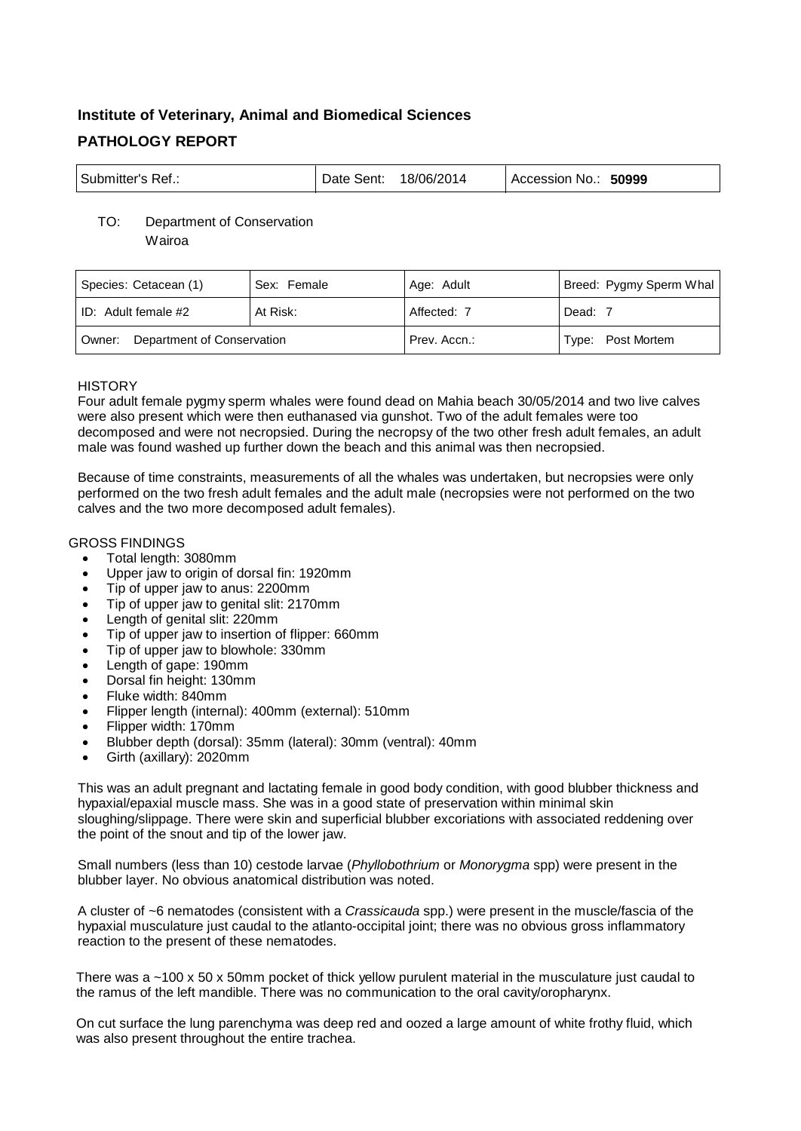# **Institute of Veterinary, Animal and Biomedical Sciences PATHOLOGY REPORT**

| ' Submitter's Ref.: | Date Sent: | 18/06/2014 | 50999<br>Accession No.: |
|---------------------|------------|------------|-------------------------|
|---------------------|------------|------------|-------------------------|

# TO: Department of Conservation

Wairoa

| Species: Cetacean (1)             | Sex: Female | Age: Adult   | Breed: Pygmy Sperm Whal |
|-----------------------------------|-------------|--------------|-------------------------|
| ID: Adult female #2               | At Risk:    | Affected: 7  | Dead: 7                 |
| Owner: Department of Conservation |             | Prev. Accn.: | Type: Post Mortem       |

## **HISTORY**

Four adult female pygmy sperm whales were found dead on Mahia beach 30/05/2014 and two live calves were also present which were then euthanased via gunshot. Two of the adult females were too decomposed and were not necropsied. During the necropsy of the two other fresh adult females, an adult male was found washed up further down the beach and this animal was then necropsied.

Because of time constraints, measurements of all the whales was undertaken, but necropsies were only performed on the two fresh adult females and the adult male (necropsies were not performed on the two calves and the two more decomposed adult females).

## GROSS FINDINGS

- Total length: 3080mm
- Upper jaw to origin of dorsal fin: 1920mm
- Tip of upper jaw to anus: 2200mm
- Tip of upper jaw to genital slit: 2170mm
- Length of genital slit: 220mm
- Tip of upper jaw to insertion of flipper: 660mm
- Tip of upper jaw to blowhole: 330mm
- Length of gape: 190mm
- Dorsal fin height: 130mm
- Fluke width: 840mm
- Flipper length (internal): 400mm (external): 510mm
- Flipper width: 170mm
- Blubber depth (dorsal): 35mm (lateral): 30mm (ventral): 40mm
- Girth (axillary): 2020mm

This was an adult pregnant and lactating female in good body condition, with good blubber thickness and hypaxial/epaxial muscle mass. She was in a good state of preservation within minimal skin sloughing/slippage. There were skin and superficial blubber excoriations with associated reddening over the point of the snout and tip of the lower jaw.

Small numbers (less than 10) cestode larvae (*Phyllobothrium* or *Monorygma* spp) were present in the blubber layer. No obvious anatomical distribution was noted.

A cluster of ~6 nematodes (consistent with a *Crassicauda* spp.) were present in the muscle/fascia of the hypaxial musculature just caudal to the atlanto-occipital joint; there was no obvious gross inflammatory reaction to the present of these nematodes.

There was a ~100 x 50 x 50mm pocket of thick yellow purulent material in the musculature just caudal to the ramus of the left mandible. There was no communication to the oral cavity/oropharynx.

On cut surface the lung parenchyma was deep red and oozed a large amount of white frothy fluid, which was also present throughout the entire trachea.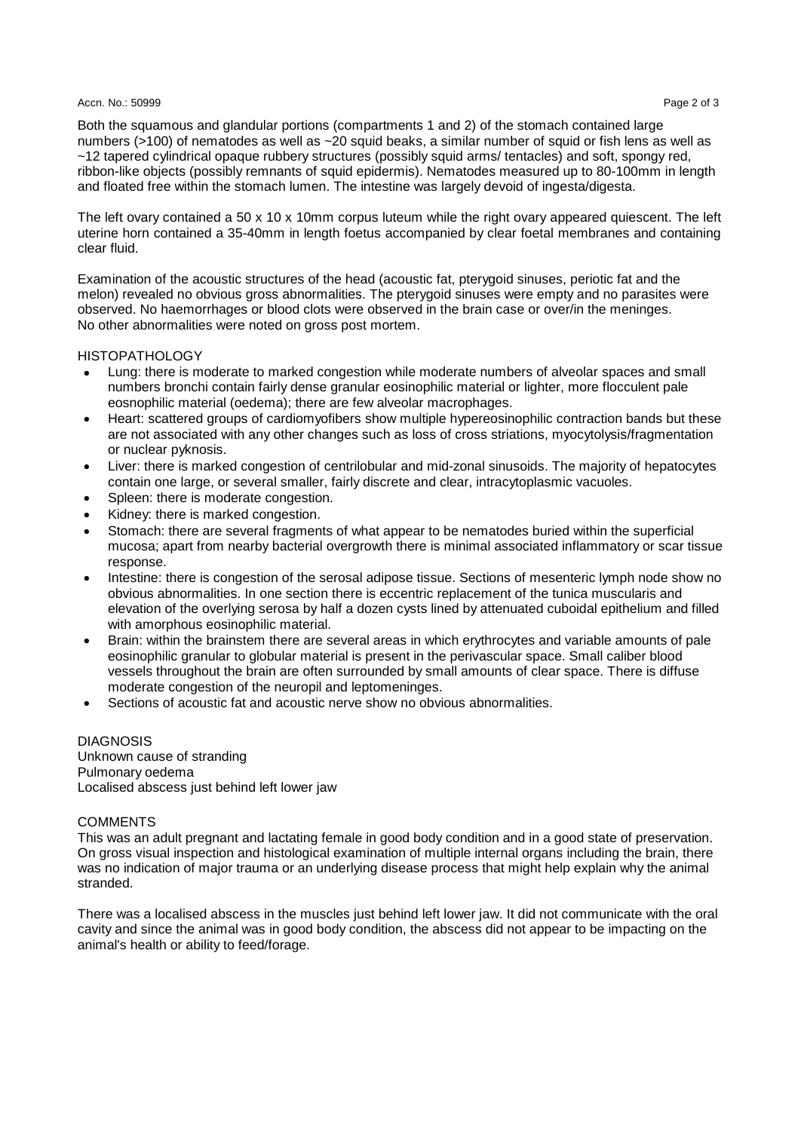#### Accn. No.: 50999 Page 2 of 3 According to 2 of 3 According to 2 of 3 According to 2 of 3 According to 2 of 3 According to 2 of 3 According to 2 of 3 According to 2 of 3 According to 2 of 3 According to 2 of 3 According to

Both the squamous and glandular portions (compartments 1 and 2) of the stomach contained large numbers (>100) of nematodes as well as ~20 squid beaks, a similar number of squid or fish lens as well as ~12 tapered cylindrical opaque rubbery structures (possibly squid arms/ tentacles) and soft, spongy red, ribbon-like objects (possibly remnants of squid epidermis). Nematodes measured up to 80-100mm in length and floated free within the stomach lumen. The intestine was largely devoid of ingesta/digesta.

The left ovary contained a 50 x 10 x 10mm corpus luteum while the right ovary appeared quiescent. The left uterine horn contained a 35-40mm in length foetus accompanied by clear foetal membranes and containing clear fluid.

Examination of the acoustic structures of the head (acoustic fat, pterygoid sinuses, periotic fat and the melon) revealed no obvious gross abnormalities. The pterygoid sinuses were empty and no parasites were observed. No haemorrhages or blood clots were observed in the brain case or over/in the meninges. No other abnormalities were noted on gross post mortem.

#### HISTOPATHOLOGY

- Lung: there is moderate to marked congestion while moderate numbers of alveolar spaces and small numbers bronchi contain fairly dense granular eosinophilic material or lighter, more flocculent pale eosnophilic material (oedema); there are few alveolar macrophages.
- Heart: scattered groups of cardiomyofibers show multiple hypereosinophilic contraction bands but these are not associated with any other changes such as loss of cross striations, myocytolysis/fragmentation or nuclear pyknosis.
- Liver: there is marked congestion of centrilobular and mid-zonal sinusoids. The majority of hepatocytes contain one large, or several smaller, fairly discrete and clear, intracytoplasmic vacuoles.
- Spleen: there is moderate congestion.
- Kidney: there is marked congestion.
- Stomach: there are several fragments of what appear to be nematodes buried within the superficial mucosa; apart from nearby bacterial overgrowth there is minimal associated inflammatory or scar tissue response.
- Intestine: there is congestion of the serosal adipose tissue. Sections of mesenteric lymph node show no obvious abnormalities. In one section there is eccentric replacement of the tunica muscularis and elevation of the overlying serosa by half a dozen cysts lined by attenuated cuboidal epithelium and filled with amorphous eosinophilic material.
- Brain: within the brainstem there are several areas in which erythrocytes and variable amounts of pale eosinophilic granular to globular material is present in the perivascular space. Small caliber blood vessels throughout the brain are often surrounded by small amounts of clear space. There is diffuse moderate congestion of the neuropil and leptomeninges.
- Sections of acoustic fat and acoustic nerve show no obvious abnormalities.

**DIAGNOSIS** Unknown cause of stranding Pulmonary oedema Localised abscess just behind left lower jaw

#### **COMMENTS**

This was an adult pregnant and lactating female in good body condition and in a good state of preservation. On gross visual inspection and histological examination of multiple internal organs including the brain, there was no indication of major trauma or an underlying disease process that might help explain why the animal stranded.

There was a localised abscess in the muscles just behind left lower jaw. It did not communicate with the oral cavity and since the animal was in good body condition, the abscess did not appear to be impacting on the animal's health or ability to feed/forage.